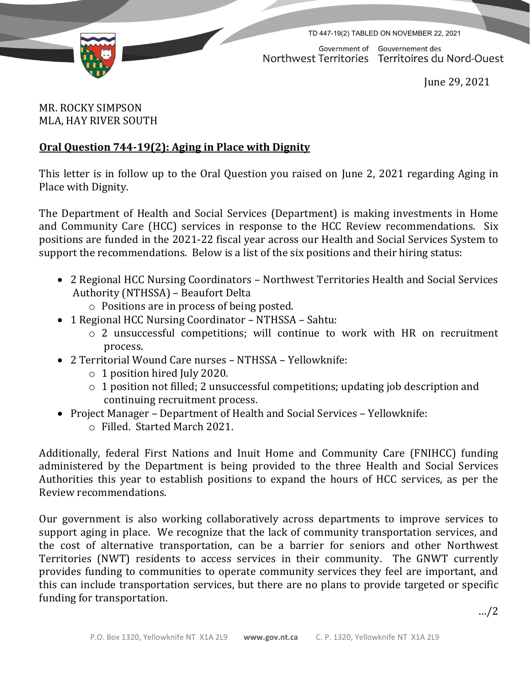

TD 447-19(2) TABLED ON NOVEMBER 22, 2021

Government of Gouvernement des Northwest Territories Territoires du Nord-Ouest

June 29, 2021

## MR. ROCKY SIMPSON MLA, HAY RIVER SOUTH

## **Oral Question 744-19(2): Aging in Place with Dignity**

This letter is in follow up to the Oral Question you raised on June 2, 2021 regarding Aging in Place with Dignity.

The Department of Health and Social Services (Department) is making investments in Home and Community Care (HCC) services in response to the HCC Review recommendations. Six positions are funded in the 2021-22 fiscal year across our Health and Social Services System to support the recommendations. Below is a list of the six positions and their hiring status:

- 2 Regional HCC Nursing Coordinators Northwest Territories Health and Social Services Authority (NTHSSA) – Beaufort Delta
	- o Positions are in process of being posted.
- 1 Regional HCC Nursing Coordinator NTHSSA Sahtu:
	- o 2 unsuccessful competitions; will continue to work with HR on recruitment process.
- 2 Territorial Wound Care nurses NTHSSA Yellowknife:
	- o 1 position hired July 2020.
	- o 1 position not filled; 2 unsuccessful competitions; updating job description and continuing recruitment process.
- Project Manager Department of Health and Social Services Yellowknife: o Filled. Started March 2021.

Additionally, federal First Nations and Inuit Home and Community Care (FNIHCC) funding administered by the Department is being provided to the three Health and Social Services Authorities this year to establish positions to expand the hours of HCC services, as per the Review recommendations.

Our government is also working collaboratively across departments to improve services to support aging in place. We recognize that the lack of community transportation services, and the cost of alternative transportation, can be a barrier for seniors and other Northwest Territories (NWT) residents to access services in their community. The GNWT currently provides funding to communities to operate community services they feel are important, and this can include transportation services, but there are no plans to provide targeted or specific funding for transportation.